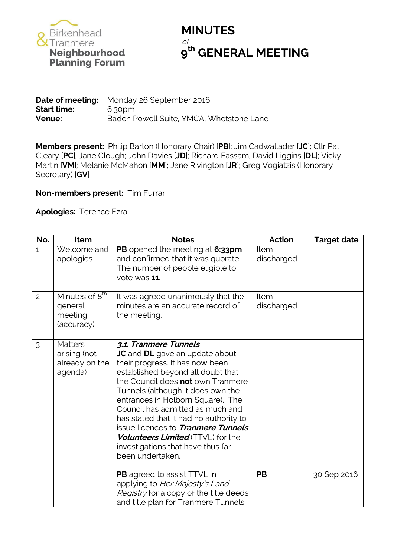

## **MINUTES** of **th GENERAL MEETING**

|                    | <b>Date of meeting:</b> Monday 26 September 2016 |
|--------------------|--------------------------------------------------|
| <b>Start time:</b> | 6:30pm                                           |
| <b>Venue:</b>      | Baden Powell Suite, YMCA, Whetstone Lane         |

**Members present:** Philip Barton (Honorary Chair) [**PB**]; Jim Cadwallader [**JC**]; Cllr Pat Cleary [**PC**]; Jane Clough; John Davies [**JD**]; Richard Fassam; David Liggins [**DL**]; Vicky Martin [**VM**]; Melanie McMahon [**MM**]; Jane Rivington [**JR**]; Greg Vogiatzis (Honorary Secretary) [**GV**]

## **Non-members present:** Tim Furrar

**Apologies:** Terence Ezra

| No.            | Item                                                           | <b>Notes</b>                                                                                                                                                                                                                                                                                                                                                                                                                                                            | <b>Action</b>      | <b>Target date</b> |
|----------------|----------------------------------------------------------------|-------------------------------------------------------------------------------------------------------------------------------------------------------------------------------------------------------------------------------------------------------------------------------------------------------------------------------------------------------------------------------------------------------------------------------------------------------------------------|--------------------|--------------------|
| $\overline{1}$ | Welcome and<br>apologies                                       | PB opened the meeting at 6:33pm<br>and confirmed that it was quorate.<br>The number of people eligible to<br>vote was 11.                                                                                                                                                                                                                                                                                                                                               | Item<br>discharged |                    |
| $\overline{c}$ | Minutes of 8 <sup>th</sup><br>general<br>meeting<br>(accuracy) | It was agreed unanimously that the<br>minutes are an accurate record of<br>the meeting.                                                                                                                                                                                                                                                                                                                                                                                 | Item<br>discharged |                    |
| 3              | <b>Matters</b><br>arising (not<br>already on the<br>agenda)    | 3.1. Tranmere Tunnels<br>JC and DL gave an update about<br>their progress. It has now been<br>established beyond all doubt that<br>the Council does not own Tranmere<br>Tunnels (although it does own the<br>entrances in Holborn Square). The<br>Council has admitted as much and<br>has stated that it had no authority to<br>issue licences to Tranmere Tunnels<br><b>Volunteers Limited</b> (TTVL) for the<br>investigations that have thus far<br>been undertaken. |                    |                    |
|                |                                                                | <b>PB</b> agreed to assist TTVL in<br>applying to Her Majesty's Land<br>Registry for a copy of the title deeds<br>and title plan for Tranmere Tunnels.                                                                                                                                                                                                                                                                                                                  | <b>PB</b>          | 30 Sep 2016        |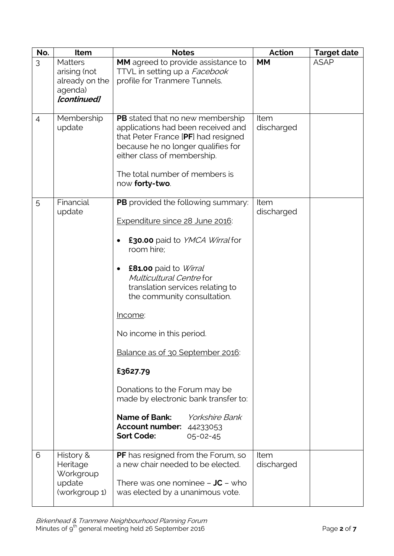| No.            | Item                                                                       | <b>Notes</b>                                                                                                                                                                                                                                                                                                                                                                                                                                                                                                                             | <b>Action</b>      | <b>Target date</b> |
|----------------|----------------------------------------------------------------------------|------------------------------------------------------------------------------------------------------------------------------------------------------------------------------------------------------------------------------------------------------------------------------------------------------------------------------------------------------------------------------------------------------------------------------------------------------------------------------------------------------------------------------------------|--------------------|--------------------|
| 3              | <b>Matters</b><br>arising (not<br>already on the<br>agenda)<br>[continued] | MM agreed to provide assistance to<br>TTVL in setting up a Facebook<br>profile for Tranmere Tunnels.                                                                                                                                                                                                                                                                                                                                                                                                                                     | <b>MM</b>          | <b>ASAP</b>        |
| $\overline{4}$ | Membership<br>update                                                       | <b>PB</b> stated that no new membership<br>applications had been received and<br>that Peter France [PF] had resigned<br>because he no longer qualifies for<br>either class of membership.<br>The total number of members is<br>now forty-two.                                                                                                                                                                                                                                                                                            | Item<br>discharged |                    |
| 5              | Financial<br>update                                                        | <b>PB</b> provided the following summary:<br>Expenditure since 28 June 2016:<br>£30.00 paid to YMCA Wirral for<br>room hire;<br>£81.00 paid to Wirral<br>٠<br>Multicultural Centre for<br>translation services relating to<br>the community consultation.<br><u>Income:</u><br>No income in this period.<br>Balance as of 30 September 2016:<br>£3627.79<br>Donations to the Forum may be<br>made by electronic bank transfer to:<br>Name of Bank:<br><i>Yorkshire Bank</i><br>Account number: 44233053<br><b>Sort Code:</b><br>05-02-45 | Item<br>discharged |                    |
| 6              | History &<br>Heritage<br>Workgroup<br>update<br>(workgroup 1)              | PF has resigned from the Forum, so<br>a new chair needed to be elected.<br>There was one nominee $-$ JC $-$ who<br>was elected by a unanimous vote.                                                                                                                                                                                                                                                                                                                                                                                      | Item<br>discharged |                    |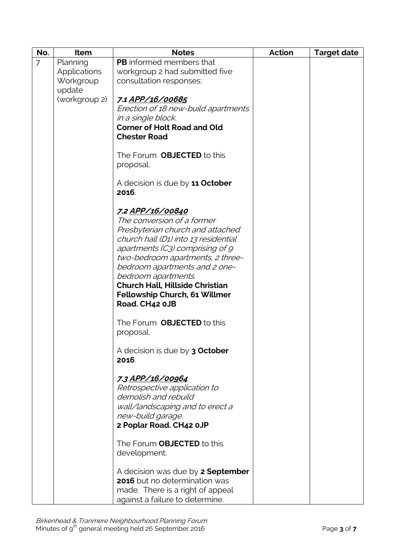| No.            | Item                | <b>Notes</b>                             | <b>Action</b> | <b>Target date</b> |
|----------------|---------------------|------------------------------------------|---------------|--------------------|
| $\overline{7}$ | Planning            | <b>PB</b> informed members that          |               |                    |
|                | <b>Applications</b> | workgroup 2 had submitted five           |               |                    |
|                | Workgroup           | consultation responses:                  |               |                    |
|                | update              |                                          |               |                    |
|                | (workgroup 2)       | 7.1 APP/16/00685                         |               |                    |
|                |                     | Erection of 18 new-build apartments      |               |                    |
|                |                     | in a single block.                       |               |                    |
|                |                     | <b>Corner of Holt Road and Old</b>       |               |                    |
|                |                     | <b>Chester Road</b>                      |               |                    |
|                |                     |                                          |               |                    |
|                |                     | The Forum <b>OBJECTED</b> to this        |               |                    |
|                |                     | proposal.                                |               |                    |
|                |                     |                                          |               |                    |
|                |                     | A decision is due by 11 October          |               |                    |
|                |                     | 2016.                                    |               |                    |
|                |                     |                                          |               |                    |
|                |                     | <u>7.2 APP/16/00840</u>                  |               |                    |
|                |                     | The conversion of a former               |               |                    |
|                |                     | Presbyterian church and attached         |               |                    |
|                |                     | church hall (D1) into 13 residential     |               |                    |
|                |                     | apartments (C3) comprising of 9          |               |                    |
|                |                     | two-bedroom apartments, 2 three-         |               |                    |
|                |                     | bedroom apartments and 2 one-            |               |                    |
|                |                     | bedroom apartments.                      |               |                    |
|                |                     | <b>Church Hall, Hillside Christian</b>   |               |                    |
|                |                     | Fellowship Church, 61 Willmer            |               |                    |
|                |                     | Road. CH42 0JB                           |               |                    |
|                |                     | The Forum <b>OBJECTED</b> to this        |               |                    |
|                |                     | proposal.                                |               |                    |
|                |                     |                                          |               |                    |
|                |                     | A decision is due by 3 October           |               |                    |
|                |                     | 2016.                                    |               |                    |
|                |                     |                                          |               |                    |
|                |                     | 7.3 APP/16/00964                         |               |                    |
|                |                     | Retrospective application to             |               |                    |
|                |                     | demolish and rebuild                     |               |                    |
|                |                     | wall/landscaping and to erect a          |               |                    |
|                |                     | new-build garage.                        |               |                    |
|                |                     | 2 Poplar Road. CH42 0JP                  |               |                    |
|                |                     |                                          |               |                    |
|                |                     | The Forum <b>OBJECTED</b> to this        |               |                    |
|                |                     | development.                             |               |                    |
|                |                     |                                          |               |                    |
|                |                     | A decision was due by <b>2 September</b> |               |                    |
|                |                     | 2016 but no determination was            |               |                    |
|                |                     | made. There is a right of appeal         |               |                    |
|                |                     | against a failure to determine.          |               |                    |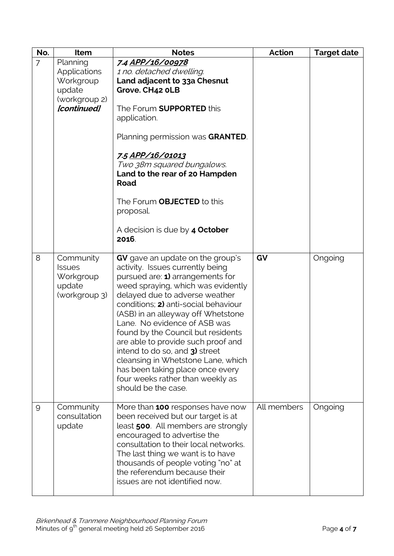| No.            | Item                                                                                   | <b>Notes</b>                                                                                                                                                                                                                                                                                                                                                                                                                                                                                                                                      | <b>Action</b> | <b>Target date</b> |
|----------------|----------------------------------------------------------------------------------------|---------------------------------------------------------------------------------------------------------------------------------------------------------------------------------------------------------------------------------------------------------------------------------------------------------------------------------------------------------------------------------------------------------------------------------------------------------------------------------------------------------------------------------------------------|---------------|--------------------|
| $\overline{7}$ | Planning<br><b>Applications</b><br>Workgroup<br>update<br>(workgroup 2)<br>[continued] | 7.4 APP/16/00978<br>1 no. detached dwelling.<br>Land adjacent to 33a Chesnut<br>Grove. CH42 OLB<br>The Forum <b>SUPPORTED</b> this<br>application.<br>Planning permission was GRANTED.<br>7.5 APP/16/01013<br>Two 38m squared bungalows.<br>Land to the rear of 20 Hampden<br><b>Road</b><br>The Forum <b>OBJECTED</b> to this<br>proposal.<br>A decision is due by 4 October<br>2016.                                                                                                                                                            |               |                    |
| 8              | Community<br><b>Issues</b><br>Workgroup<br>update<br>(workgroup 3)                     | GV gave an update on the group's<br>activity. Issues currently being<br>pursued are: 1) arrangements for<br>weed spraying, which was evidently<br>delayed due to adverse weather<br>conditions; 2) anti-social behaviour<br>(ASB) in an alleyway off Whetstone<br>Lane. No evidence of ASB was<br>found by the Council but residents<br>are able to provide such proof and<br>intend to do so, and 3) street<br>cleansing in Whetstone Lane, which<br>has been taking place once every<br>four weeks rather than weekly as<br>should be the case. | GV            | Ongoing            |
| 9              | Community<br>consultation<br>update                                                    | More than 100 responses have now<br>been received but our target is at<br>least 500. All members are strongly<br>encouraged to advertise the<br>consultation to their local networks.<br>The last thing we want is to have<br>thousands of people voting "no" at<br>the referendum because their<br>issues are not identified now.                                                                                                                                                                                                                | All members   | Ongoing            |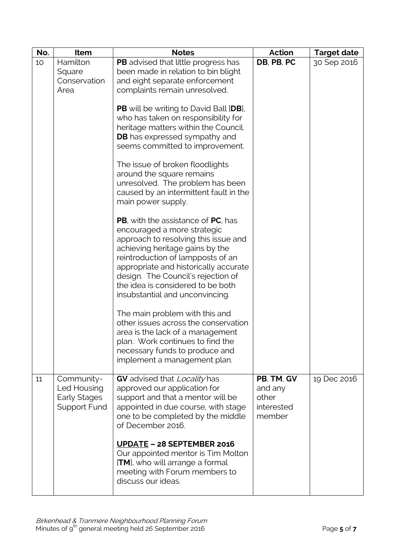| No. | Item                                                      | <b>Notes</b>                                                                                                                                                                                                                                                                                                                                             | Action                                                 | <b>Target date</b> |
|-----|-----------------------------------------------------------|----------------------------------------------------------------------------------------------------------------------------------------------------------------------------------------------------------------------------------------------------------------------------------------------------------------------------------------------------------|--------------------------------------------------------|--------------------|
| 10  | Hamilton<br>Square<br>Conservation<br>Area                | PB advised that little progress has<br>been made in relation to bin blight<br>and eight separate enforcement<br>complaints remain unresolved.                                                                                                                                                                                                            | DB, PB, PC                                             | 30 Sep 2016        |
|     |                                                           | <b>PB</b> will be writing to David Ball [DB],<br>who has taken on responsibility for<br>heritage matters within the Council.<br><b>DB</b> has expressed sympathy and<br>seems committed to improvement.                                                                                                                                                  |                                                        |                    |
|     |                                                           | The issue of broken floodlights<br>around the square remains<br>unresolved. The problem has been<br>caused by an intermittent fault in the<br>main power supply.                                                                                                                                                                                         |                                                        |                    |
|     |                                                           | <b>PB</b> , with the assistance of <b>PC</b> , has<br>encouraged a more strategic<br>approach to resolving this issue and<br>achieving heritage gains by the<br>reintroduction of lampposts of an<br>appropriate and historically accurate<br>design. The Council's rejection of<br>the idea is considered to be both<br>insubstantial and unconvincing. |                                                        |                    |
|     |                                                           | The main problem with this and<br>other issues across the conservation<br>area is the lack of a management<br>plan. Work continues to find the<br>necessary funds to produce and<br>implement a management plan.                                                                                                                                         |                                                        |                    |
| 11  | Community-<br>Led Housing<br>Early Stages<br>Support Fund | GV advised that Locality has<br>approved our application for<br>support and that a mentor will be<br>appointed in due course, with stage<br>one to be completed by the middle<br>of December 2016.                                                                                                                                                       | PB, TM, GV<br>and any<br>other<br>interested<br>member | 19 Dec 2016        |
|     |                                                           | <b>UPDATE - 28 SEPTEMBER 2016</b><br>Our appointed mentor is Tim Molton<br>[TM], who will arrange a formal<br>meeting with Forum members to<br>discuss our ideas.                                                                                                                                                                                        |                                                        |                    |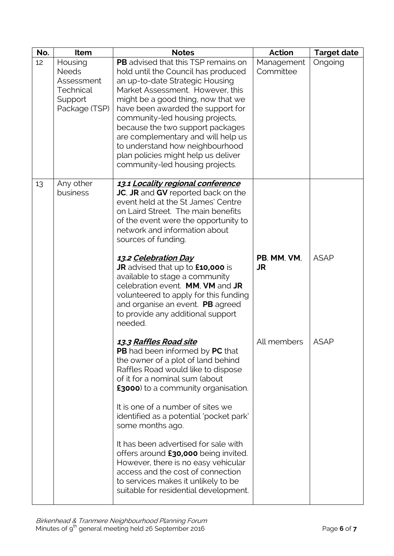| No. | Item                                                                           | <b>Notes</b>                                                                                                                                                                                                                                                                                                                                                                                                                                                                                                                                                                                | Action                   | <b>Target date</b> |
|-----|--------------------------------------------------------------------------------|---------------------------------------------------------------------------------------------------------------------------------------------------------------------------------------------------------------------------------------------------------------------------------------------------------------------------------------------------------------------------------------------------------------------------------------------------------------------------------------------------------------------------------------------------------------------------------------------|--------------------------|--------------------|
| 12  | Housing<br><b>Needs</b><br>Assessment<br>Technical<br>Support<br>Package (TSP) | <b>PB</b> advised that this TSP remains on<br>hold until the Council has produced<br>an up-to-date Strategic Housing<br>Market Assessment. However, this<br>might be a good thing, now that we<br>have been awarded the support for<br>community-led housing projects,<br>because the two support packages<br>are complementary and will help us<br>to understand how neighbourhood<br>plan policies might help us deliver<br>community-led housing projects.                                                                                                                               | Management<br>Committee  | Ongoing            |
| 13  | Any other<br>business                                                          | 13.1 Locality regional conference<br>JC, JR and GV reported back on the<br>event held at the St James' Centre<br>on Laird Street. The main benefits<br>of the event were the opportunity to<br>network and information about<br>sources of funding.<br>13.2 Celebration Day<br>JR advised that up to £10,000 is<br>available to stage a community<br>celebration event. MM, VM and JR<br>volunteered to apply for this funding<br>and organise an event. PB agreed<br>to provide any additional support<br>needed.                                                                          | PB, MM, VM,<br><b>JR</b> | <b>ASAP</b>        |
|     |                                                                                | <u>13.3 Raffles Road site</u><br><b>PB</b> had been informed by <b>PC</b> that<br>the owner of a plot of land behind<br>Raffles Road would like to dispose<br>of it for a nominal sum (about<br><b>£3000</b> ) to a community organisation.<br>It is one of a number of sites we<br>identified as a potential 'pocket park'<br>some months ago.<br>It has been advertised for sale with<br>offers around £30,000 being invited.<br>However, there is no easy vehicular<br>access and the cost of connection<br>to services makes it unlikely to be<br>suitable for residential development. | All members              | <b>ASAP</b>        |